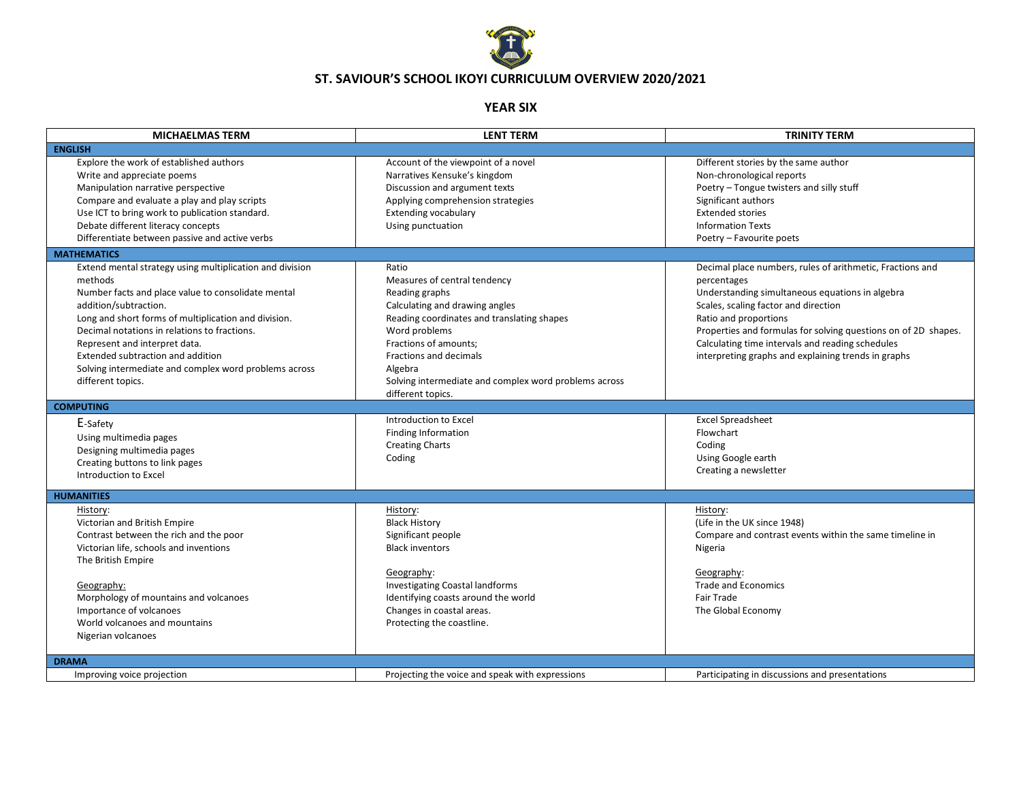

## **ST. SAVIOUR'S SCHOOL IKOYI CURRICULUM OVERVIEW 2020/2021**

## **YEAR SIX**

| <b>MICHAELMAS TERM</b>                                                                                                                                                                                                                                                                                                                                                                                         | <b>LENT TERM</b>                                                                                                                                                                                                                                                                                     | <b>TRINITY TERM</b>                                                                                                                                                                                                                                                                                                                                                       |
|----------------------------------------------------------------------------------------------------------------------------------------------------------------------------------------------------------------------------------------------------------------------------------------------------------------------------------------------------------------------------------------------------------------|------------------------------------------------------------------------------------------------------------------------------------------------------------------------------------------------------------------------------------------------------------------------------------------------------|---------------------------------------------------------------------------------------------------------------------------------------------------------------------------------------------------------------------------------------------------------------------------------------------------------------------------------------------------------------------------|
| <b>ENGLISH</b>                                                                                                                                                                                                                                                                                                                                                                                                 |                                                                                                                                                                                                                                                                                                      |                                                                                                                                                                                                                                                                                                                                                                           |
| Explore the work of established authors<br>Write and appreciate poems<br>Manipulation narrative perspective<br>Compare and evaluate a play and play scripts<br>Use ICT to bring work to publication standard.<br>Debate different literacy concepts<br>Differentiate between passive and active verbs                                                                                                          | Account of the viewpoint of a novel<br>Narratives Kensuke's kingdom<br>Discussion and argument texts<br>Applying comprehension strategies<br>Extending vocabulary<br>Using punctuation                                                                                                               | Different stories by the same author<br>Non-chronological reports<br>Poetry - Tongue twisters and silly stuff<br>Significant authors<br><b>Extended stories</b><br><b>Information Texts</b><br>Poetry - Favourite poets                                                                                                                                                   |
| <b>MATHEMATICS</b>                                                                                                                                                                                                                                                                                                                                                                                             |                                                                                                                                                                                                                                                                                                      |                                                                                                                                                                                                                                                                                                                                                                           |
| Extend mental strategy using multiplication and division<br>methods<br>Number facts and place value to consolidate mental<br>addition/subtraction.<br>Long and short forms of multiplication and division.<br>Decimal notations in relations to fractions.<br>Represent and interpret data.<br>Extended subtraction and addition<br>Solving intermediate and complex word problems across<br>different topics. | Ratio<br>Measures of central tendency<br>Reading graphs<br>Calculating and drawing angles<br>Reading coordinates and translating shapes<br>Word problems<br>Fractions of amounts;<br>Fractions and decimals<br>Algebra<br>Solving intermediate and complex word problems across<br>different topics. | Decimal place numbers, rules of arithmetic, Fractions and<br>percentages<br>Understanding simultaneous equations in algebra<br>Scales, scaling factor and direction<br>Ratio and proportions<br>Properties and formulas for solving questions on of 2D shapes.<br>Calculating time intervals and reading schedules<br>interpreting graphs and explaining trends in graphs |
| <b>COMPUTING</b>                                                                                                                                                                                                                                                                                                                                                                                               |                                                                                                                                                                                                                                                                                                      |                                                                                                                                                                                                                                                                                                                                                                           |
| E-Safety<br>Using multimedia pages<br>Designing multimedia pages<br>Creating buttons to link pages<br>Introduction to Excel                                                                                                                                                                                                                                                                                    | Introduction to Excel<br><b>Finding Information</b><br><b>Creating Charts</b><br>Coding                                                                                                                                                                                                              | <b>Excel Spreadsheet</b><br>Flowchart<br>Coding<br>Using Google earth<br>Creating a newsletter                                                                                                                                                                                                                                                                            |
| <b>HUMANITIES</b>                                                                                                                                                                                                                                                                                                                                                                                              |                                                                                                                                                                                                                                                                                                      |                                                                                                                                                                                                                                                                                                                                                                           |
| History:<br>Victorian and British Empire<br>Contrast between the rich and the poor<br>Victorian life, schools and inventions<br>The British Empire<br>Geography:<br>Morphology of mountains and volcanoes<br>Importance of volcanoes<br>World volcanoes and mountains<br>Nigerian volcanoes                                                                                                                    | History:<br><b>Black History</b><br>Significant people<br><b>Black inventors</b><br>Geography:<br><b>Investigating Coastal landforms</b><br>Identifying coasts around the world<br>Changes in coastal areas.<br>Protecting the coastline.                                                            | History:<br>(Life in the UK since 1948)<br>Compare and contrast events within the same timeline in<br>Nigeria<br>Geography:<br><b>Trade and Economics</b><br>Fair Trade<br>The Global Economy                                                                                                                                                                             |
| <b>DRAMA</b>                                                                                                                                                                                                                                                                                                                                                                                                   |                                                                                                                                                                                                                                                                                                      |                                                                                                                                                                                                                                                                                                                                                                           |
| Improving voice projection                                                                                                                                                                                                                                                                                                                                                                                     | Projecting the voice and speak with expressions                                                                                                                                                                                                                                                      | Participating in discussions and presentations                                                                                                                                                                                                                                                                                                                            |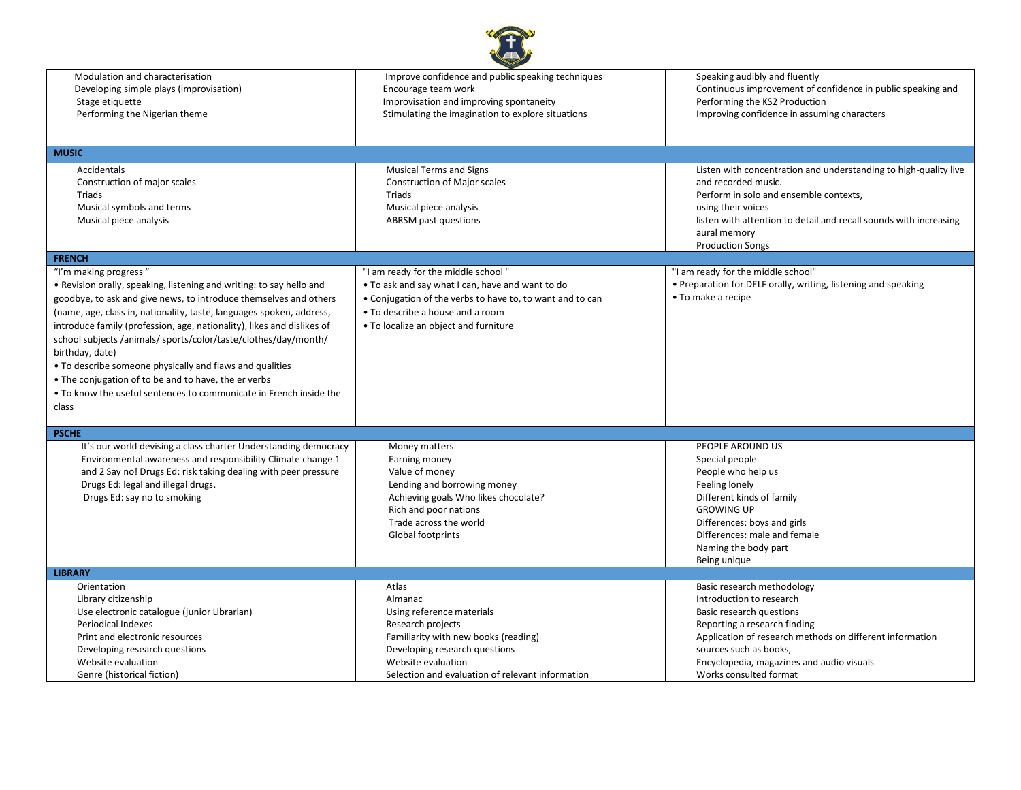| Modulation and characterisation<br>Developing simple plays (improvisation) | Improve confidence and public speaking techniques<br>Encourage team work | Speaking audibly and fluently<br>Continuous improvement of confidence in public speaking and |
|----------------------------------------------------------------------------|--------------------------------------------------------------------------|----------------------------------------------------------------------------------------------|
| Stage etiquette                                                            | Improvisation and improving spontaneity                                  | Performing the KS2 Production                                                                |
| Performing the Nigerian theme                                              | Stimulating the imagination to explore situations                        | Improving confidence in assuming characters                                                  |
|                                                                            |                                                                          |                                                                                              |
| <b>MUSIC</b>                                                               |                                                                          |                                                                                              |
| Accidentals                                                                | <b>Musical Terms and Signs</b>                                           | Listen with concentration and understanding to high-quality live                             |
| Construction of major scales                                               | <b>Construction of Major scales</b>                                      | and recorded music.                                                                          |
| Triads                                                                     | Triads                                                                   | Perform in solo and ensemble contexts,                                                       |
| Musical symbols and terms                                                  | Musical piece analysis                                                   | using their voices                                                                           |
| Musical piece analysis                                                     | <b>ABRSM</b> past questions                                              | listen with attention to detail and recall sounds with increasing                            |
|                                                                            |                                                                          | aural memory                                                                                 |
|                                                                            |                                                                          | <b>Production Songs</b>                                                                      |
| <b>FRENCH</b>                                                              |                                                                          |                                                                                              |
| "I'm making progress"                                                      | "I am ready for the middle school"                                       | "I am ready for the middle school"                                                           |
| . Revision orally, speaking, listening and writing: to say hello and       | • To ask and say what I can, have and want to do                         | • Preparation for DELF orally, writing, listening and speaking                               |
| goodbye, to ask and give news, to introduce themselves and others          | • Conjugation of the verbs to have to, to want and to can                | • To make a recipe                                                                           |
| (name, age, class in, nationality, taste, languages spoken, address,       | • To describe a house and a room                                         |                                                                                              |
| introduce family (profession, age, nationality), likes and dislikes of     | • To localize an object and furniture                                    |                                                                                              |
| school subjects /animals/ sports/color/taste/clothes/day/month/            |                                                                          |                                                                                              |
| birthday, date)                                                            |                                                                          |                                                                                              |
| • To describe someone physically and flaws and qualities                   |                                                                          |                                                                                              |
| • The conjugation of to be and to have, the er verbs                       |                                                                          |                                                                                              |
|                                                                            |                                                                          |                                                                                              |
| . To know the useful sentences to communicate in French inside the         |                                                                          |                                                                                              |
| class                                                                      |                                                                          |                                                                                              |
| <b>PSCHE</b>                                                               |                                                                          |                                                                                              |
| It's our world devising a class charter Understanding democracy            | Money matters                                                            | PEOPLE AROUND US                                                                             |
| Environmental awareness and responsibility Climate change 1                | Earning money                                                            | Special people                                                                               |
| and 2 Say no! Drugs Ed: risk taking dealing with peer pressure             | Value of money                                                           | People who help us                                                                           |
| Drugs Ed: legal and illegal drugs.                                         | Lending and borrowing money                                              | Feeling lonely                                                                               |
| Drugs Ed: say no to smoking                                                | Achieving goals Who likes chocolate?                                     | Different kinds of family                                                                    |
|                                                                            | Rich and poor nations                                                    | <b>GROWING UP</b>                                                                            |
|                                                                            | Trade across the world                                                   | Differences: boys and girls                                                                  |
|                                                                            | Global footprints                                                        | Differences: male and female                                                                 |
|                                                                            |                                                                          | Naming the body part                                                                         |
|                                                                            |                                                                          | Being unique                                                                                 |
| <b>LIBRARY</b>                                                             |                                                                          |                                                                                              |
| Orientation                                                                | Atlas                                                                    | Basic research methodology                                                                   |
| Library citizenship                                                        | Almanac                                                                  | Introduction to research                                                                     |
| Use electronic catalogue (junior Librarian)                                | Using reference materials                                                | Basic research questions                                                                     |
| <b>Periodical Indexes</b>                                                  | Research projects                                                        | Reporting a research finding                                                                 |
| Print and electronic resources                                             | Familiarity with new books (reading)                                     | Application of research methods on different information                                     |
| Developing research questions                                              | Developing research questions                                            | sources such as books,                                                                       |
| Website evaluation                                                         | Website evaluation                                                       | Encyclopedia, magazines and audio visuals                                                    |
| Genre (historical fiction)                                                 | Selection and evaluation of relevant information                         | Works consulted format                                                                       |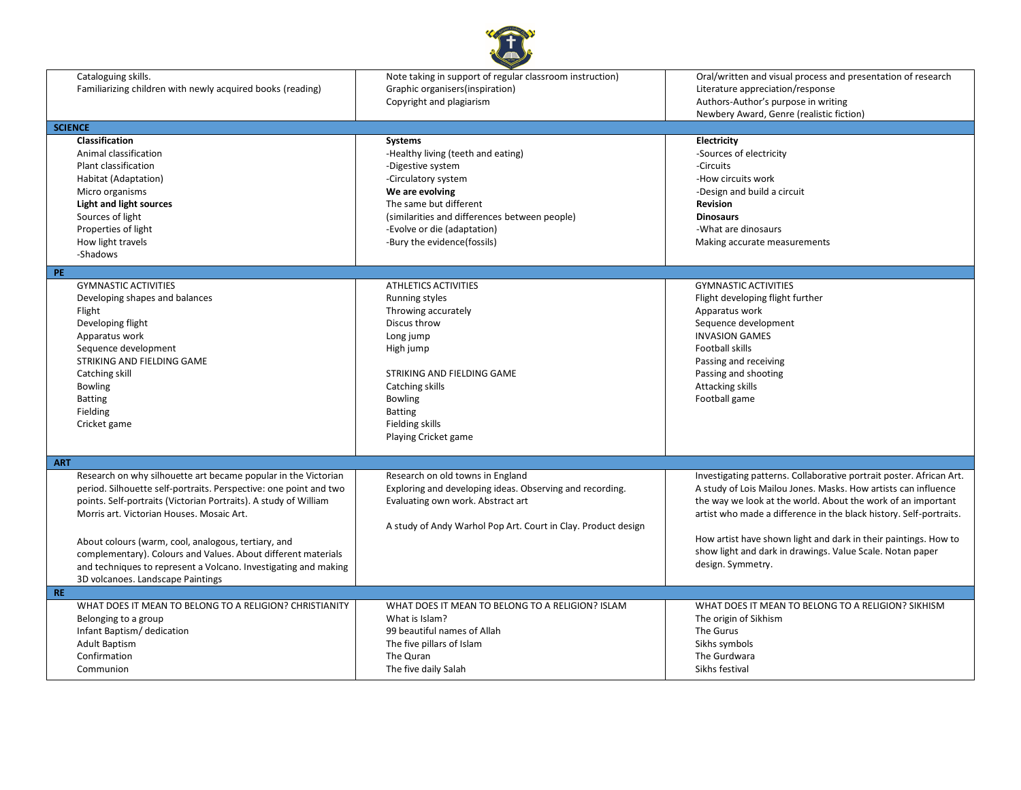

| Cataloguing skills.<br>Familiarizing children with newly acquired books (reading)<br><b>SCIENCE</b><br>Classification<br>Animal classification<br>Plant classification<br>Habitat (Adaptation)<br>Micro organisms<br><b>Light and light sources</b><br>Sources of light<br>Properties of light<br>How light travels                                                                                                                                                                                             | Note taking in support of regular classroom instruction)<br>Graphic organisers (inspiration)<br>Copyright and plagiarism<br>Systems<br>-Healthy living (teeth and eating)<br>-Digestive system<br>-Circulatory system<br>We are evolving<br>The same but different<br>(similarities and differences between people)<br>-Evolve or die (adaptation)<br>-Bury the evidence(fossils) | Oral/written and visual process and presentation of research<br>Literature appreciation/response<br>Authors-Author's purpose in writing<br>Newbery Award, Genre (realistic fiction)<br>Electricity<br>-Sources of electricity<br>-Circuits<br>-How circuits work<br>-Design and build a circuit<br>Revision<br><b>Dinosaurs</b><br>-What are dinosaurs<br>Making accurate measurements                                           |
|-----------------------------------------------------------------------------------------------------------------------------------------------------------------------------------------------------------------------------------------------------------------------------------------------------------------------------------------------------------------------------------------------------------------------------------------------------------------------------------------------------------------|-----------------------------------------------------------------------------------------------------------------------------------------------------------------------------------------------------------------------------------------------------------------------------------------------------------------------------------------------------------------------------------|----------------------------------------------------------------------------------------------------------------------------------------------------------------------------------------------------------------------------------------------------------------------------------------------------------------------------------------------------------------------------------------------------------------------------------|
| -Shadows                                                                                                                                                                                                                                                                                                                                                                                                                                                                                                        |                                                                                                                                                                                                                                                                                                                                                                                   |                                                                                                                                                                                                                                                                                                                                                                                                                                  |
| PE.<br><b>GYMNASTIC ACTIVITIES</b><br>Developing shapes and balances<br>Flight<br>Developing flight<br>Apparatus work<br>Sequence development<br>STRIKING AND FIELDING GAME<br>Catching skill<br><b>Bowling</b><br><b>Batting</b><br>Fielding<br>Cricket game                                                                                                                                                                                                                                                   | <b>ATHLETICS ACTIVITIES</b><br><b>Running styles</b><br>Throwing accurately<br>Discus throw<br>Long jump<br>High jump<br>STRIKING AND FIELDING GAME<br>Catching skills<br><b>Bowling</b><br><b>Batting</b><br>Fielding skills<br>Playing Cricket game                                                                                                                             | <b>GYMNASTIC ACTIVITIES</b><br>Flight developing flight further<br>Apparatus work<br>Sequence development<br><b>INVASION GAMES</b><br>Football skills<br>Passing and receiving<br>Passing and shooting<br><b>Attacking skills</b><br>Football game                                                                                                                                                                               |
| <b>ART</b><br>Research on why silhouette art became popular in the Victorian<br>period. Silhouette self-portraits. Perspective: one point and two<br>points. Self-portraits (Victorian Portraits). A study of William<br>Morris art. Victorian Houses. Mosaic Art.<br>About colours (warm, cool, analogous, tertiary, and<br>complementary). Colours and Values. About different materials<br>and techniques to represent a Volcano. Investigating and making<br>3D volcanoes. Landscape Paintings<br><b>RE</b> | Research on old towns in England<br>Exploring and developing ideas. Observing and recording.<br>Evaluating own work. Abstract art<br>A study of Andy Warhol Pop Art. Court in Clay. Product design                                                                                                                                                                                | Investigating patterns. Collaborative portrait poster. African Art.<br>A study of Lois Mailou Jones. Masks. How artists can influence<br>the way we look at the world. About the work of an important<br>artist who made a difference in the black history. Self-portraits.<br>How artist have shown light and dark in their paintings. How to<br>show light and dark in drawings. Value Scale. Notan paper<br>design. Symmetry. |
| WHAT DOES IT MEAN TO BELONG TO A RELIGION? CHRISTIANITY<br>Belonging to a group<br>Infant Baptism/ dedication<br><b>Adult Baptism</b><br>Confirmation<br>Communion                                                                                                                                                                                                                                                                                                                                              | WHAT DOES IT MEAN TO BELONG TO A RELIGION? ISLAM<br>What is Islam?<br>99 beautiful names of Allah<br>The five pillars of Islam<br>The Quran<br>The five daily Salah                                                                                                                                                                                                               | WHAT DOES IT MEAN TO BELONG TO A RELIGION? SIKHISM<br>The origin of Sikhism<br>The Gurus<br>Sikhs symbols<br>The Gurdwara<br>Sikhs festival                                                                                                                                                                                                                                                                                      |